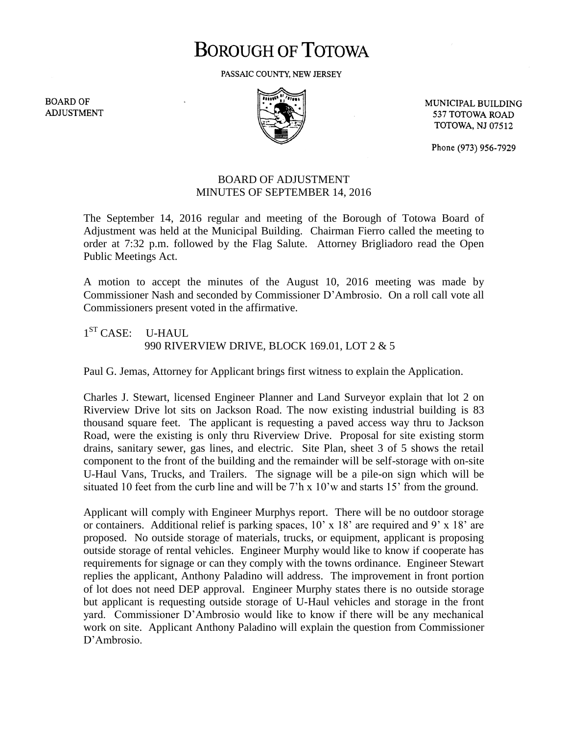## **BOROUGH OF TOTOWA**

PASSAIC COUNTY, NEW JERSEY

**BOARD OF ADJUSTMENT** 



MUNICIPAL BUILDING 537 TOTOWA ROAD **TOTOWA, NJ 07512** 

Phone (973) 956-7929

## BOARD OF ADJUSTMENT MINUTES OF SEPTEMBER 14, 2016

The September 14, 2016 regular and meeting of the Borough of Totowa Board of Adjustment was held at the Municipal Building. Chairman Fierro called the meeting to order at 7:32 p.m. followed by the Flag Salute. Attorney Brigliadoro read the Open Public Meetings Act.

A motion to accept the minutes of the August 10, 2016 meeting was made by Commissioner Nash and seconded by Commissioner D'Ambrosio. On a roll call vote all Commissioners present voted in the affirmative.

1<sup>ST</sup> CASE: U-HAUL 990 RIVERVIEW DRIVE, BLOCK 169.01, LOT 2 & 5

Paul G. Jemas, Attorney for Applicant brings first witness to explain the Application.

Charles J. Stewart, licensed Engineer Planner and Land Surveyor explain that lot 2 on Riverview Drive lot sits on Jackson Road. The now existing industrial building is 83 thousand square feet. The applicant is requesting a paved access way thru to Jackson Road, were the existing is only thru Riverview Drive. Proposal for site existing storm drains, sanitary sewer, gas lines, and electric. Site Plan, sheet 3 of 5 shows the retail component to the front of the building and the remainder will be self-storage with on-site U-Haul Vans, Trucks, and Trailers. The signage will be a pile-on sign which will be situated 10 feet from the curb line and will be 7'h x 10'w and starts 15' from the ground.

Applicant will comply with Engineer Murphys report. There will be no outdoor storage or containers. Additional relief is parking spaces, 10' x 18' are required and 9' x 18' are proposed. No outside storage of materials, trucks, or equipment, applicant is proposing outside storage of rental vehicles. Engineer Murphy would like to know if cooperate has requirements for signage or can they comply with the towns ordinance. Engineer Stewart replies the applicant, Anthony Paladino will address. The improvement in front portion of lot does not need DEP approval. Engineer Murphy states there is no outside storage but applicant is requesting outside storage of U-Haul vehicles and storage in the front yard. Commissioner D'Ambrosio would like to know if there will be any mechanical work on site. Applicant Anthony Paladino will explain the question from Commissioner D'Ambrosio.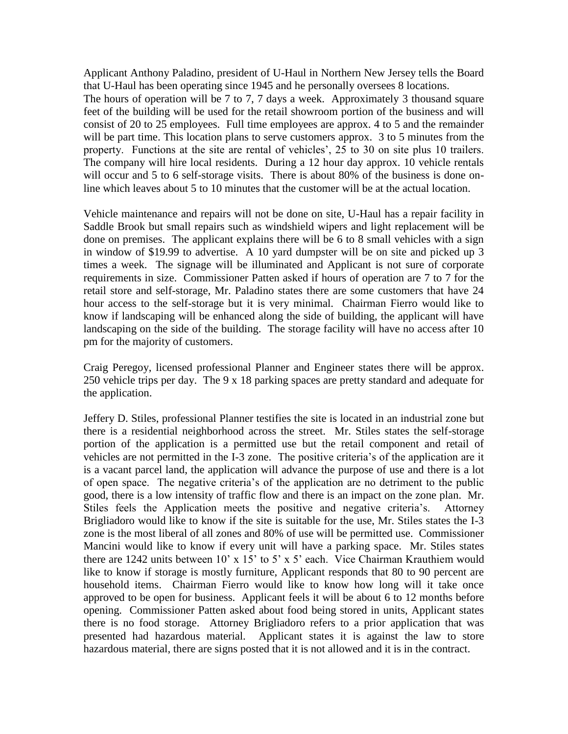Applicant Anthony Paladino, president of U-Haul in Northern New Jersey tells the Board that U-Haul has been operating since 1945 and he personally oversees 8 locations.

The hours of operation will be 7 to 7, 7 days a week. Approximately 3 thousand square feet of the building will be used for the retail showroom portion of the business and will consist of 20 to 25 employees. Full time employees are approx. 4 to 5 and the remainder will be part time. This location plans to serve customers approx. 3 to 5 minutes from the property. Functions at the site are rental of vehicles', 25 to 30 on site plus 10 trailers. The company will hire local residents. During a 12 hour day approx. 10 vehicle rentals will occur and 5 to 6 self-storage visits. There is about 80% of the business is done online which leaves about 5 to 10 minutes that the customer will be at the actual location.

Vehicle maintenance and repairs will not be done on site, U-Haul has a repair facility in Saddle Brook but small repairs such as windshield wipers and light replacement will be done on premises. The applicant explains there will be 6 to 8 small vehicles with a sign in window of \$19.99 to advertise. A 10 yard dumpster will be on site and picked up 3 times a week. The signage will be illuminated and Applicant is not sure of corporate requirements in size. Commissioner Patten asked if hours of operation are 7 to 7 for the retail store and self-storage, Mr. Paladino states there are some customers that have 24 hour access to the self-storage but it is very minimal. Chairman Fierro would like to know if landscaping will be enhanced along the side of building, the applicant will have landscaping on the side of the building. The storage facility will have no access after 10 pm for the majority of customers.

Craig Peregoy, licensed professional Planner and Engineer states there will be approx. 250 vehicle trips per day. The 9 x 18 parking spaces are pretty standard and adequate for the application.

Jeffery D. Stiles, professional Planner testifies the site is located in an industrial zone but there is a residential neighborhood across the street. Mr. Stiles states the self-storage portion of the application is a permitted use but the retail component and retail of vehicles are not permitted in the I-3 zone. The positive criteria's of the application are it is a vacant parcel land, the application will advance the purpose of use and there is a lot of open space. The negative criteria's of the application are no detriment to the public good, there is a low intensity of traffic flow and there is an impact on the zone plan. Mr. Stiles feels the Application meets the positive and negative criteria's. Attorney Brigliadoro would like to know if the site is suitable for the use, Mr. Stiles states the I-3 zone is the most liberal of all zones and 80% of use will be permitted use. Commissioner Mancini would like to know if every unit will have a parking space. Mr. Stiles states there are 1242 units between 10' x 15' to 5' x 5' each. Vice Chairman Krauthiem would like to know if storage is mostly furniture, Applicant responds that 80 to 90 percent are household items. Chairman Fierro would like to know how long will it take once approved to be open for business. Applicant feels it will be about 6 to 12 months before opening. Commissioner Patten asked about food being stored in units, Applicant states there is no food storage. Attorney Brigliadoro refers to a prior application that was presented had hazardous material. Applicant states it is against the law to store hazardous material, there are signs posted that it is not allowed and it is in the contract.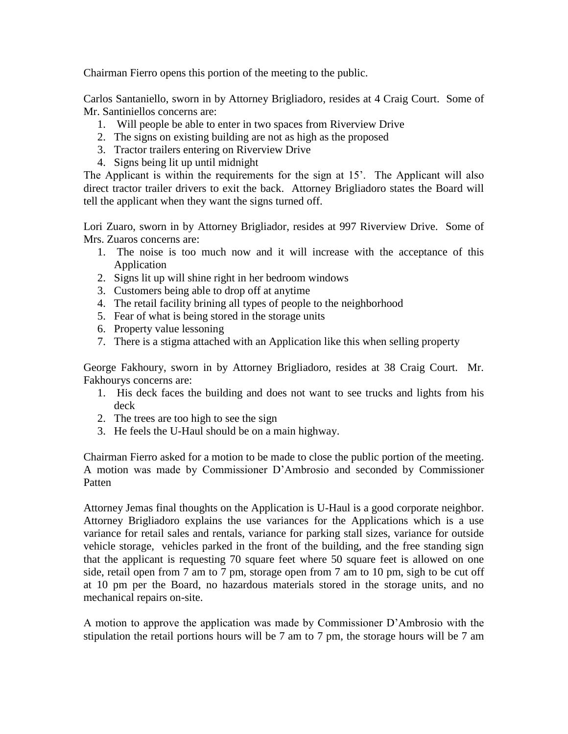Chairman Fierro opens this portion of the meeting to the public.

Carlos Santaniello, sworn in by Attorney Brigliadoro, resides at 4 Craig Court. Some of Mr. Santiniellos concerns are:

- 1. Will people be able to enter in two spaces from Riverview Drive
- 2. The signs on existing building are not as high as the proposed
- 3. Tractor trailers entering on Riverview Drive
- 4. Signs being lit up until midnight

The Applicant is within the requirements for the sign at 15'. The Applicant will also direct tractor trailer drivers to exit the back. Attorney Brigliadoro states the Board will tell the applicant when they want the signs turned off.

Lori Zuaro, sworn in by Attorney Brigliador, resides at 997 Riverview Drive. Some of Mrs. Zuaros concerns are:

- 1. The noise is too much now and it will increase with the acceptance of this Application
- 2. Signs lit up will shine right in her bedroom windows
- 3. Customers being able to drop off at anytime
- 4. The retail facility brining all types of people to the neighborhood
- 5. Fear of what is being stored in the storage units
- 6. Property value lessoning
- 7. There is a stigma attached with an Application like this when selling property

George Fakhoury, sworn in by Attorney Brigliadoro, resides at 38 Craig Court. Mr. Fakhourys concerns are:

- 1. His deck faces the building and does not want to see trucks and lights from his deck
- 2. The trees are too high to see the sign
- 3. He feels the U-Haul should be on a main highway.

Chairman Fierro asked for a motion to be made to close the public portion of the meeting. A motion was made by Commissioner D'Ambrosio and seconded by Commissioner Patten

Attorney Jemas final thoughts on the Application is U-Haul is a good corporate neighbor. Attorney Brigliadoro explains the use variances for the Applications which is a use variance for retail sales and rentals, variance for parking stall sizes, variance for outside vehicle storage, vehicles parked in the front of the building, and the free standing sign that the applicant is requesting 70 square feet where 50 square feet is allowed on one side, retail open from 7 am to 7 pm, storage open from 7 am to 10 pm, sigh to be cut off at 10 pm per the Board, no hazardous materials stored in the storage units, and no mechanical repairs on-site.

A motion to approve the application was made by Commissioner D'Ambrosio with the stipulation the retail portions hours will be 7 am to 7 pm, the storage hours will be 7 am